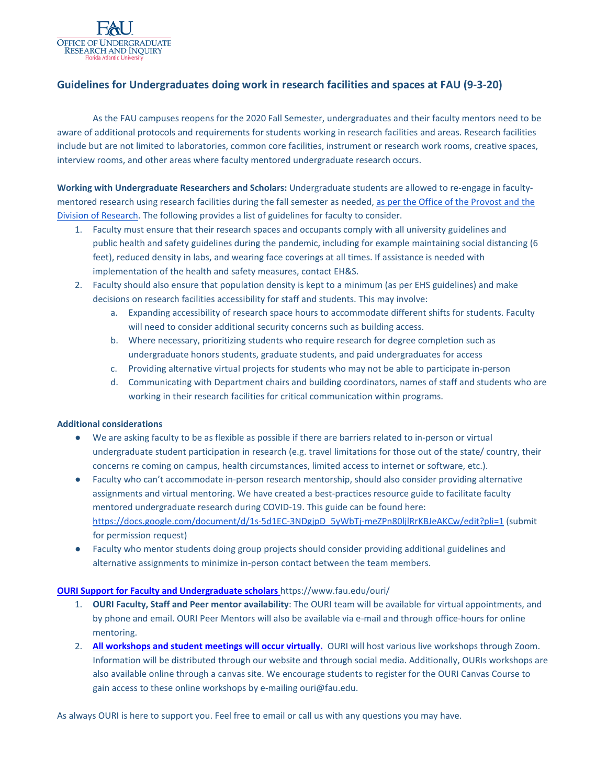

### **Guidelines for Undergraduates doing work in research facilities and spaces at FAU (9-3-20)**

As the FAU campuses reopens for the 2020 Fall Semester, undergraduates and their faculty mentors need to be aware of additional protocols and requirements for students working in research facilities and areas. Research facilities include but are not limited to laboratories, common core facilities, instrument or research work rooms, creative spaces, interview rooms, and other areas where faculty mentored undergraduate research occurs.

**Working with Undergraduate Researchers and Scholars:** Undergraduate students are allowed to re-engage in facultymentored research using research facilities during the fall semester as needed, [as per the Office of the Provost and the](http://www.fau.edu/research/COVID-19-FAQs.php)  [Division of Research.](http://www.fau.edu/research/COVID-19-FAQs.php) The following provides a list of guidelines for faculty to consider.

- 1. Faculty must ensure that their research spaces and occupants comply with all university guidelines and public health and safety guidelines during the pandemic, including for example maintaining social distancing (6 feet), reduced density in labs, and wearing face coverings at all times. If assistance is needed with implementation of the health and safety measures, contact EH&S.
- 2. Faculty should also ensure that population density is kept to a minimum (as per EHS guidelines) and make decisions on research facilities accessibility for staff and students. This may involve:
	- a. Expanding accessibility of research space hours to accommodate different shifts for students. Faculty will need to consider additional security concerns such as building access.
	- b. Where necessary, prioritizing students who require research for degree completion such as undergraduate honors students, graduate students, and paid undergraduates for access
	- c. Providing alternative virtual projects for students who may not be able to participate in-person
	- d. Communicating with Department chairs and building coordinators, names of staff and students who are working in their research facilities for critical communication within programs.

#### **Additional considerations**

- We are asking faculty to be as flexible as possible if there are barriers related to in-person or virtual undergraduate student participation in research (e.g. travel limitations for those out of the state/ country, their concerns re coming on campus, health circumstances, limited access to internet or software, etc.).
- Faculty who can't accommodate in-person research mentorship, should also consider providing alternative assignments and virtual mentoring. We have created a best-practices resource guide to facilitate faculty mentored undergraduate research during COVID-19. This guide can be found here: [https://docs.google.com/document/d/1s-5d1EC-3NDgjpD\\_5yWbTj-meZPn80ljlRrKBJeAKCw/edit?pli=1](https://docs.google.com/document/d/1s-5d1EC-3NDgjpD_5yWbTj-meZPn80ljlRrKBJeAKCw/edit?pli=1) (submit for permission request)
- Faculty who mentor students doing group projects should consider providing additional guidelines and alternative assignments to minimize in-person contact between the team members.

### **[OURI Support for Faculty and Undergraduate scholars](https://www.fau.edu/ouri/)** https://www.fau.edu/ouri/

- 1. **OURI Faculty, Staff and Peer mentor availability**: The OURI team will be available for virtual appointments, and by phone and email. OURI Peer Mentors will also be available via e-mail and through office-hours for online mentoring.
- 2. **[All workshops and student meetings will occur virtually.](https://www.fau.edu/ouri/student_workshops.php)** OURI will host various live workshops through Zoom. Information will be distributed through our website and through social media. Additionally, OURIs workshops are also available online through a canvas site. We encourage students to register for the OURI Canvas Course to gain access to these online workshops by e-mailing ouri@fau.edu.

As always OURI is here to support you. Feel free to email or call us with any questions you may have.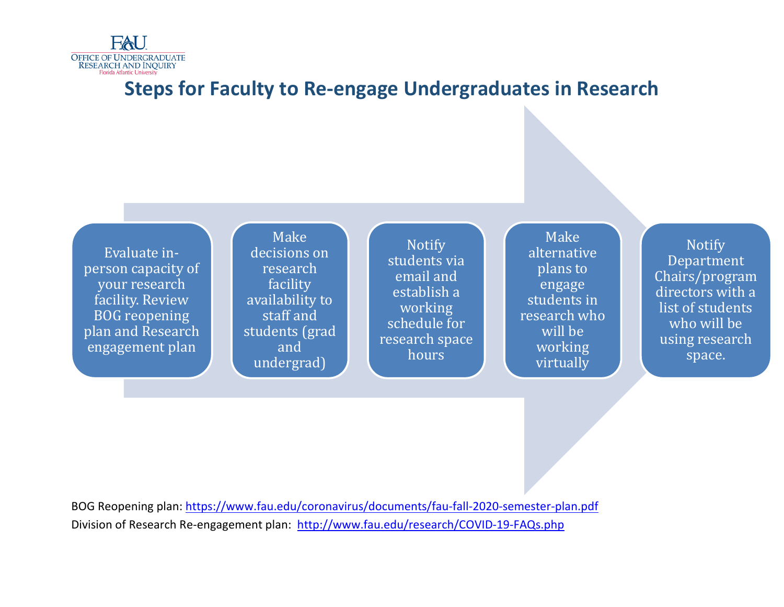

# **Steps for Faculty to Re-engage Undergraduates in Research**

Evaluate inperson capacity of your research facility. Review BOG reopening plan and Research engagement plan

Make decisions on **research** facility availability to staff and students (grad and undergrad)

Notify students via email and establish a working schedule for research space hours

Make alternative plans to engage students in research who will be working virtually

Notify Department Chairs/program directors with a list of students who will be using research space.

BOG Reopening plan:<https://www.fau.edu/coronavirus/documents/fau-fall-2020-semester-plan.pdf> [Division of Research Re-engagement plan: http://www.fau.edu/research/COVID-19-FAQs.php](http://www.fau.edu/research/COVID-19-FAQs.php)